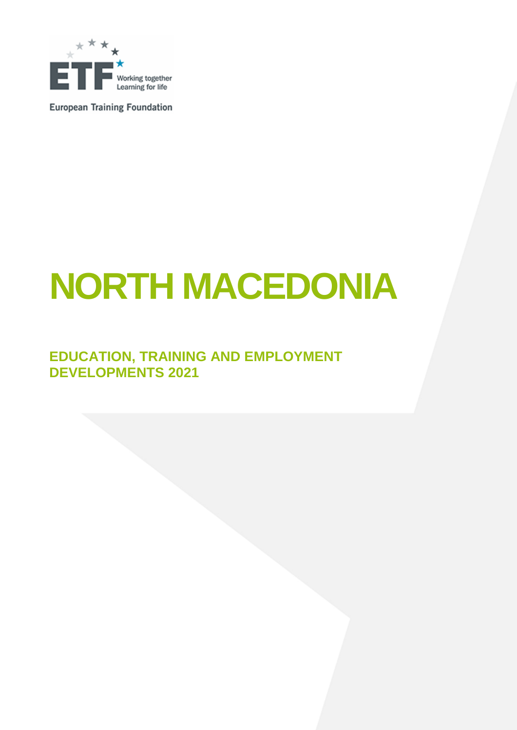

**European Training Foundation** 

# **NORTH MACEDONIA**

# **EDUCATION, TRAINING AND EMPLOYMENT DEVELOPMENTS 2021**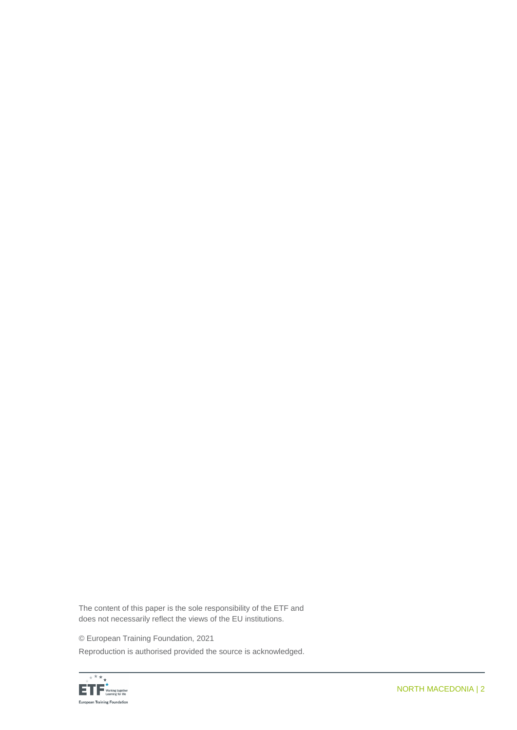The content of this paper is the sole responsibility of the ETF and does not necessarily reflect the views of the EU institutions.

© European Training Foundation, 2021

Reproduction is authorised provided the source is acknowledged.

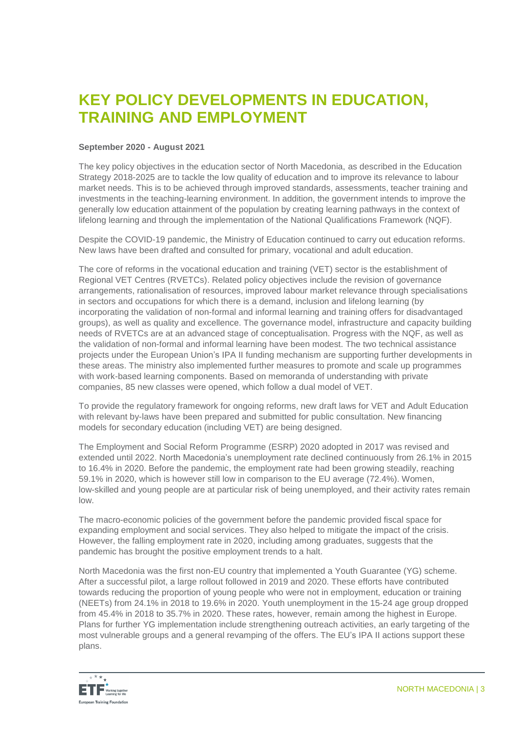# **KEY POLICY DEVELOPMENTS IN EDUCATION, TRAINING AND EMPLOYMENT**

# **September 2020 - August 2021**

The key policy objectives in the education sector of North Macedonia, as described in the Education Strategy 2018-2025 are to tackle the low quality of education and to improve its relevance to labour market needs. This is to be achieved through improved standards, assessments, teacher training and investments in the teaching-learning environment. In addition, the government intends to improve the generally low education attainment of the population by creating learning pathways in the context of lifelong learning and through the implementation of the National Qualifications Framework (NQF).

Despite the COVID-19 pandemic, the Ministry of Education continued to carry out education reforms. New laws have been drafted and consulted for primary, vocational and adult education.

The core of reforms in the vocational education and training (VET) sector is the establishment of Regional VET Centres (RVETCs). Related policy objectives include the revision of governance arrangements, rationalisation of resources, improved labour market relevance through specialisations in sectors and occupations for which there is a demand, inclusion and lifelong learning (by incorporating the validation of non-formal and informal learning and training offers for disadvantaged groups), as well as quality and excellence. The governance model, infrastructure and capacity building needs of RVETCs are at an advanced stage of conceptualisation. Progress with the NQF, as well as the validation of non-formal and informal learning have been modest. The two technical assistance projects under the European Union's IPA II funding mechanism are supporting further developments in these areas. The ministry also implemented further measures to promote and scale up programmes with work-based learning components. Based on memoranda of understanding with private companies, 85 new classes were opened, which follow a dual model of VET.

To provide the regulatory framework for ongoing reforms, new draft laws for VET and Adult Education with relevant by-laws have been prepared and submitted for public consultation. New financing models for secondary education (including VET) are being designed.

The Employment and Social Reform Programme (ESRP) 2020 adopted in 2017 was revised and extended until 2022. North Macedonia's unemployment rate declined continuously from 26.1% in 2015 to 16.4% in 2020. Before the pandemic, the employment rate had been growing steadily, reaching 59.1% in 2020, which is however still low in comparison to the EU average (72.4%). Women, low-skilled and young people are at particular risk of being unemployed, and their activity rates remain low.

The macro-economic policies of the government before the pandemic provided fiscal space for expanding employment and social services. They also helped to mitigate the impact of the crisis. However, the falling employment rate in 2020, including among graduates, suggests that the pandemic has brought the positive employment trends to a halt.

North Macedonia was the first non-EU country that implemented a Youth Guarantee (YG) scheme. After a successful pilot, a large rollout followed in 2019 and 2020. These efforts have contributed towards reducing the proportion of young people who were not in employment, education or training (NEETs) from 24.1% in 2018 to 19.6% in 2020. Youth unemployment in the 15-24 age group dropped from 45.4% in 2018 to 35.7% in 2020. These rates, however, remain among the highest in Europe. Plans for further YG implementation include strengthening outreach activities, an early targeting of the most vulnerable groups and a general revamping of the offers. The EU's IPA II actions support these plans.

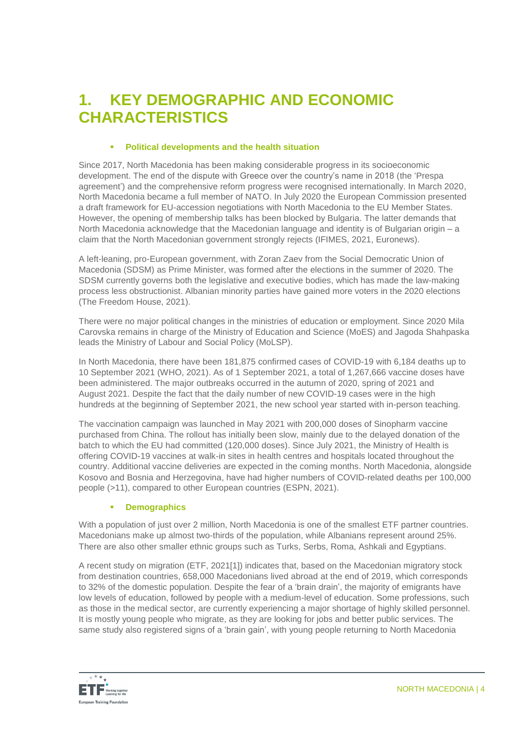# **1. KEY DEMOGRAPHIC AND ECONOMIC CHARACTERISTICS**

# **Political developments and the health situation**

Since 2017, North Macedonia has been making considerable progress in its socioeconomic development. The end of the dispute with Greece over the country's name in 2018 (the 'Prespa agreement') and the comprehensive reform progress were recognised internationally. In March 2020, North Macedonia became a full member of NATO. In July 2020 the European Commission presented a draft framework for EU-accession negotiations with North Macedonia to the EU Member States. However, the opening of membership talks has been blocked by Bulgaria. The latter demands that North Macedonia acknowledge that the Macedonian language and identity is of Bulgarian origin – a claim that the North Macedonian government strongly rejects (IFIMES, 2021, Euronews).

A left-leaning, pro-European government, with Zoran Zaev from the Social Democratic Union of Macedonia (SDSM) as Prime Minister, was formed after the elections in the summer of 2020. The SDSM currently governs both the legislative and executive bodies, which has made the law-making process less obstructionist. Albanian minority parties have gained more voters in the 2020 elections (The Freedom House, 2021).

There were no major political changes in the ministries of education or employment. Since 2020 Mila Carovska remains in charge of the Ministry of Education and Science (MoES) and Jagoda Shahpaska leads the Ministry of Labour and Social Policy (MoLSP).

In North Macedonia, there have been 181,875 confirmed cases of COVID-19 with 6,184 deaths up to 10 September 2021 (WHO, 2021). As of 1 September 2021, a total of 1,267,666 vaccine doses have been administered. The major outbreaks occurred in the autumn of 2020, spring of 2021 and August 2021. Despite the fact that the daily number of new COVID-19 cases were in the high hundreds at the beginning of September 2021, the new school year started with in-person teaching.

The vaccination campaign was launched in May 2021 with 200,000 doses of Sinopharm vaccine purchased from China. The rollout has initially been slow, mainly due to the delayed donation of the batch to which the EU had committed (120,000 doses). Since July 2021, the Ministry of Health is offering COVID-19 vaccines at walk-in sites in health centres and hospitals located throughout the country. Additional vaccine deliveries are expected in the coming months. North Macedonia, alongside Kosovo and Bosnia and Herzegovina, have had higher numbers of COVID-related deaths per 100,000 people (>11), compared to other European countries (ESPN, 2021).

## **Demographics**

With a population of just over 2 million, North Macedonia is one of the smallest ETF partner countries. Macedonians make up almost two-thirds of the population, while Albanians represent around 25%. There are also other smaller ethnic groups such as Turks, Serbs, Roma, Ashkali and Egyptians.

A recent study on migration (ETF, 2021[1]) indicates that, based on the Macedonian migratory stock from destination countries, 658,000 Macedonians lived abroad at the end of 2019, which corresponds to 32% of the domestic population. Despite the fear of a 'brain drain', the majority of emigrants have low levels of education, followed by people with a medium-level of education. Some professions, such as those in the medical sector, are currently experiencing a major shortage of highly skilled personnel. It is mostly young people who migrate, as they are looking for jobs and better public services. The same study also registered signs of a 'brain gain', with young people returning to North Macedonia

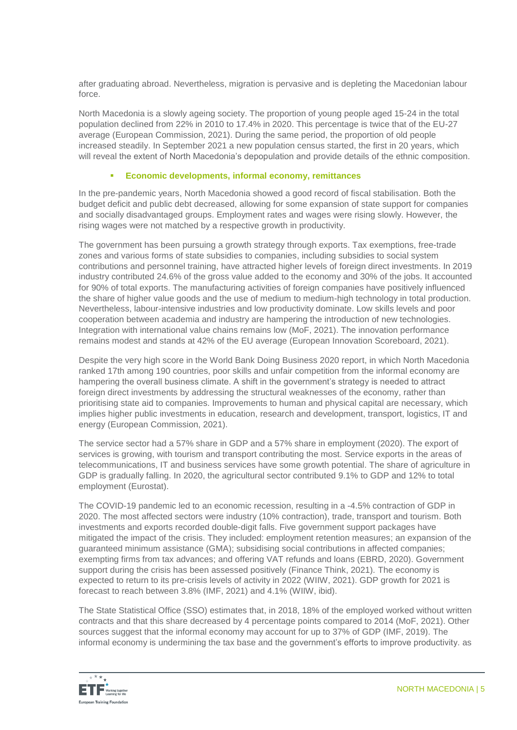after graduating abroad. Nevertheless, migration is pervasive and is depleting the Macedonian labour force.

North Macedonia is a slowly ageing society. The proportion of young people aged 15-24 in the total population declined from 22% in 2010 to 17.4% in 2020. This percentage is twice that of the EU-27 average (European Commission, 2021). During the same period, the proportion of old people increased steadily. In September 2021 a new population census started, the first in 20 years, which will reveal the extent of North Macedonia's depopulation and provide details of the ethnic composition.

#### **Economic developments, informal economy, remittances**

In the pre-pandemic years, North Macedonia showed a good record of fiscal stabilisation. Both the budget deficit and public debt decreased, allowing for some expansion of state support for companies and socially disadvantaged groups. Employment rates and wages were rising slowly. However, the rising wages were not matched by a respective growth in productivity.

The government has been pursuing a growth strategy through exports. Tax exemptions, free-trade zones and various forms of state subsidies to companies, including subsidies to social system contributions and personnel training, have attracted higher levels of foreign direct investments. In 2019 industry contributed 24.6% of the gross value added to the economy and 30% of the jobs. It accounted for 90% of total exports. The manufacturing activities of foreign companies have positively influenced the share of higher value goods and the use of medium to medium-high technology in total production. Nevertheless, labour-intensive industries and low productivity dominate. Low skills levels and poor cooperation between academia and industry are hampering the introduction of new technologies. Integration with international value chains remains low (MoF, 2021). The innovation performance remains modest and stands at 42% of the EU average (European Innovation Scoreboard, 2021).

Despite the very high score in the World Bank Doing Business 2020 report, in which North Macedonia ranked 17th among 190 countries, poor skills and unfair competition from the informal economy are hampering the overall business climate. A shift in the government's strategy is needed to attract foreign direct investments by addressing the structural weaknesses of the economy, rather than prioritising state aid to companies. Improvements to human and physical capital are necessary, which implies higher public investments in education, research and development, transport, logistics, IT and energy (European Commission, 2021).

The service sector had a 57% share in GDP and a 57% share in employment (2020). The export of services is growing, with tourism and transport contributing the most. Service exports in the areas of telecommunications, IT and business services have some growth potential. The share of agriculture in GDP is gradually falling. In 2020, the agricultural sector contributed 9.1% to GDP and 12% to total employment (Eurostat).

The COVID-19 pandemic led to an economic recession, resulting in a -4.5% contraction of GDP in 2020. The most affected sectors were industry (10% contraction), trade, transport and tourism. Both investments and exports recorded double-digit falls. Five government support packages have mitigated the impact of the crisis. They included: employment retention measures; an expansion of the guaranteed minimum assistance (GMA); subsidising social contributions in affected companies; exempting firms from tax advances; and offering VAT refunds and loans (EBRD, 2020). Government support during the crisis has been assessed positively (Finance Think, 2021). The economy is expected to return to its pre-crisis levels of activity in 2022 (WIIW, 2021). GDP growth for 2021 is forecast to reach between 3.8% (IMF, 2021) and 4.1% (WIIW, ibid).

The State Statistical Office (SSO) estimates that, in 2018, 18% of the employed worked without written contracts and that this share decreased by 4 percentage points compared to 2014 (MoF, 2021). Other sources suggest that the informal economy may account for up to 37% of GDP (IMF, 2019). The informal economy is undermining the tax base and the government's efforts to improve productivity. as

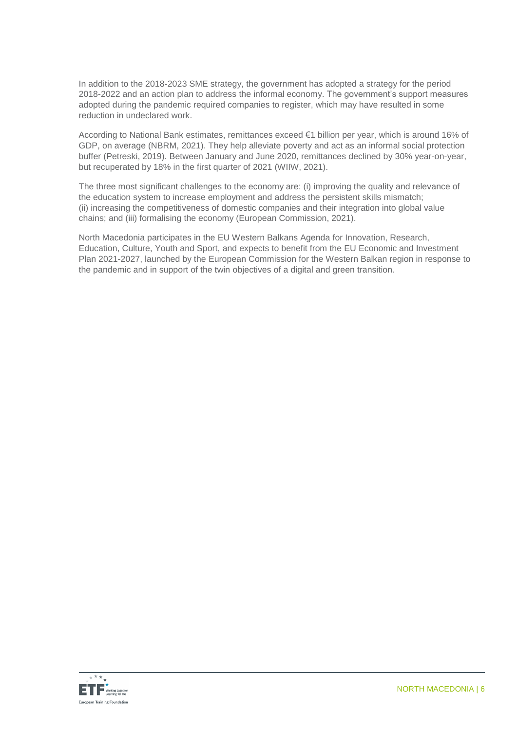In addition to the 2018-2023 SME strategy, the government has adopted a strategy for the period 2018-2022 and an action plan to address the informal economy. The government's support measures adopted during the pandemic required companies to register, which may have resulted in some reduction in undeclared work.

According to National Bank estimates, remittances exceed €1 billion per year, which is around 16% of GDP, on average (NBRM, 2021). They help alleviate poverty and act as an informal social protection buffer (Petreski, 2019). Between January and June 2020, remittances declined by 30% year-on-year, but recuperated by 18% in the first quarter of 2021 (WIIW, 2021).

The three most significant challenges to the economy are: (i) improving the quality and relevance of the education system to increase employment and address the persistent skills mismatch; (ii) increasing the competitiveness of domestic companies and their integration into global value chains; and (iii) formalising the economy (European Commission, 2021).

North Macedonia participates in the EU Western Balkans Agenda for Innovation, Research, Education, Culture, Youth and Sport, and expects to benefit from the EU Economic and Investment Plan 2021-2027, launched by the European Commission for the Western Balkan region in response to the pandemic and in support of the twin objectives of a digital and green transition.

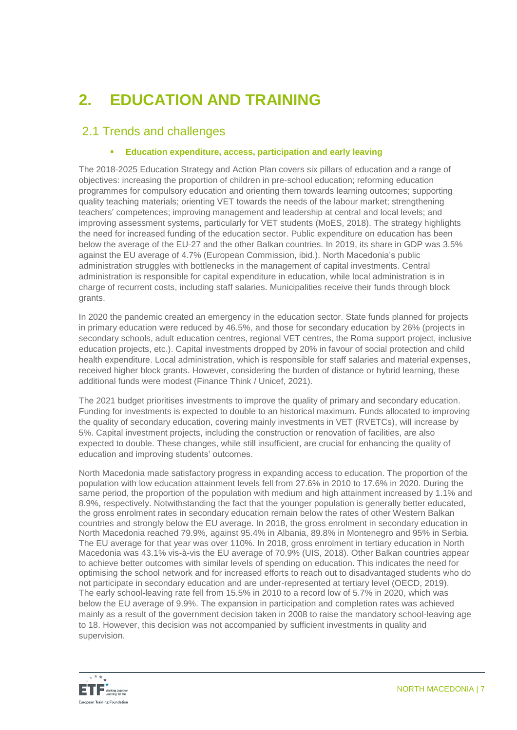# **2. EDUCATION AND TRAINING**

# 2.1 Trends and challenges

# **Education expenditure, access, participation and early leaving**

The 2018-2025 Education Strategy and Action Plan covers six pillars of education and a range of objectives: increasing the proportion of children in pre-school education; reforming education programmes for compulsory education and orienting them towards learning outcomes; supporting quality teaching materials; orienting VET towards the needs of the labour market; strengthening teachers' competences; improving management and leadership at central and local levels; and improving assessment systems, particularly for VET students (MoES, 2018). The strategy highlights the need for increased funding of the education sector. Public expenditure on education has been below the average of the EU-27 and the other Balkan countries. In 2019, its share in GDP was 3.5% against the EU average of 4.7% (European Commission, ibid.). North Macedonia's public administration struggles with bottlenecks in the management of capital investments. Central administration is responsible for capital expenditure in education, while local administration is in charge of recurrent costs, including staff salaries. Municipalities receive their funds through block grants.

In 2020 the pandemic created an emergency in the education sector. State funds planned for projects in primary education were reduced by 46.5%, and those for secondary education by 26% (projects in secondary schools, adult education centres, regional VET centres, the Roma support project, inclusive education projects, etc.). Capital investments dropped by 20% in favour of social protection and child health expenditure. Local administration, which is responsible for staff salaries and material expenses, received higher block grants. However, considering the burden of distance or hybrid learning, these additional funds were modest (Finance Think / Unicef, 2021).

The 2021 budget prioritises investments to improve the quality of primary and secondary education. Funding for investments is expected to double to an historical maximum. Funds allocated to improving the quality of secondary education, covering mainly investments in VET (RVETCs), will increase by 5%. Capital investment projects, including the construction or renovation of facilities, are also expected to double. These changes, while still insufficient, are crucial for enhancing the quality of education and improving students' outcomes.

North Macedonia made satisfactory progress in expanding access to education. The proportion of the population with low education attainment levels fell from 27.6% in 2010 to 17.6% in 2020. During the same period, the proportion of the population with medium and high attainment increased by 1.1% and 8.9%, respectively. Notwithstanding the fact that the younger population is generally better educated, the gross enrolment rates in secondary education remain below the rates of other Western Balkan countries and strongly below the EU average. In 2018, the gross enrolment in secondary education in North Macedonia reached 79.9%, against 95.4% in Albania, 89.8% in Montenegro and 95% in Serbia. The EU average for that year was over 110%. In 2018, gross enrolment in tertiary education in North Macedonia was 43.1% vis-à-vis the EU average of 70.9% (UIS, 2018). Other Balkan countries appear to achieve better outcomes with similar levels of spending on education. This indicates the need for optimising the school network and for increased efforts to reach out to disadvantaged students who do not participate in secondary education and are under-represented at tertiary level (OECD, 2019). The early school-leaving rate fell from 15.5% in 2010 to a record low of 5.7% in 2020, which was below the EU average of 9.9%. The expansion in participation and completion rates was achieved mainly as a result of the government decision taken in 2008 to raise the mandatory school-leaving age to 18. However, this decision was not accompanied by sufficient investments in quality and supervision.

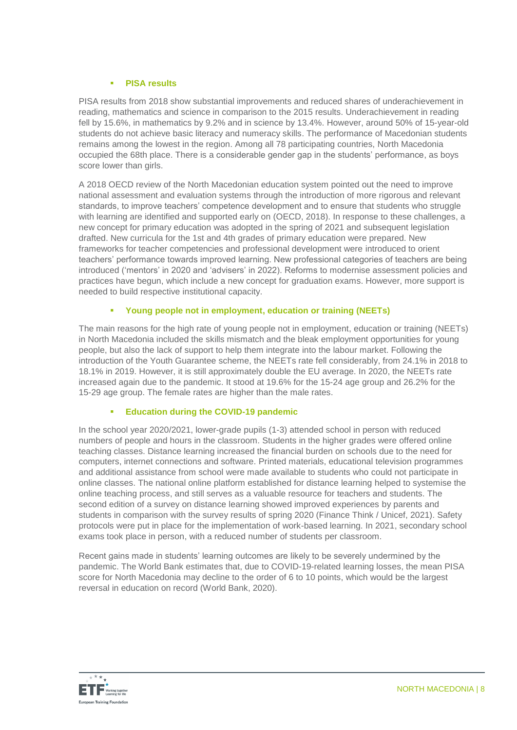## **PISA results**

PISA results from 2018 show substantial improvements and reduced shares of underachievement in reading, mathematics and science in comparison to the 2015 results. Underachievement in reading fell by 15.6%, in mathematics by 9.2% and in science by 13.4%. However, around 50% of 15-year-old students do not achieve basic literacy and numeracy skills. The performance of Macedonian students remains among the lowest in the region. Among all 78 participating countries, North Macedonia occupied the 68th place. There is a considerable gender gap in the students' performance, as boys score lower than girls.

A 2018 OECD review of the North Macedonian education system pointed out the need to improve national assessment and evaluation systems through the introduction of more rigorous and relevant standards, to improve teachers' competence development and to ensure that students who struggle with learning are identified and supported early on (OECD, 2018). In response to these challenges, a new concept for primary education was adopted in the spring of 2021 and subsequent legislation drafted. New curricula for the 1st and 4th grades of primary education were prepared. New frameworks for teacher competencies and professional development were introduced to orient teachers' performance towards improved learning. New professional categories of teachers are being introduced ('mentors' in 2020 and 'advisers' in 2022). Reforms to modernise assessment policies and practices have begun, which include a new concept for graduation exams. However, more support is needed to build respective institutional capacity.

# **Young people not in employment, education or training (NEETs)**

The main reasons for the high rate of young people not in employment, education or training (NEETs) in North Macedonia included the skills mismatch and the bleak employment opportunities for young people, but also the lack of support to help them integrate into the labour market. Following the introduction of the Youth Guarantee scheme, the NEETs rate fell considerably, from 24.1% in 2018 to 18.1% in 2019. However, it is still approximately double the EU average. In 2020, the NEETs rate increased again due to the pandemic. It stood at 19.6% for the 15-24 age group and 26.2% for the 15-29 age group. The female rates are higher than the male rates.

## **Education during the COVID-19 pandemic**

In the school year 2020/2021, lower-grade pupils (1-3) attended school in person with reduced numbers of people and hours in the classroom. Students in the higher grades were offered online teaching classes. Distance learning increased the financial burden on schools due to the need for computers, internet connections and software. Printed materials, educational television programmes and additional assistance from school were made available to students who could not participate in online classes. The national online platform established for distance learning helped to systemise the online teaching process, and still serves as a valuable resource for teachers and students. The second edition of a survey on distance learning showed improved experiences by parents and students in comparison with the survey results of spring 2020 (Finance Think / Unicef, 2021). Safety protocols were put in place for the implementation of work-based learning. In 2021, secondary school exams took place in person, with a reduced number of students per classroom.

Recent gains made in students' learning outcomes are likely to be severely undermined by the pandemic. The World Bank estimates that, due to COVID-19-related learning losses, the mean PISA score for North Macedonia may decline to the order of 6 to 10 points, which would be the largest reversal in education on record (World Bank, 2020).

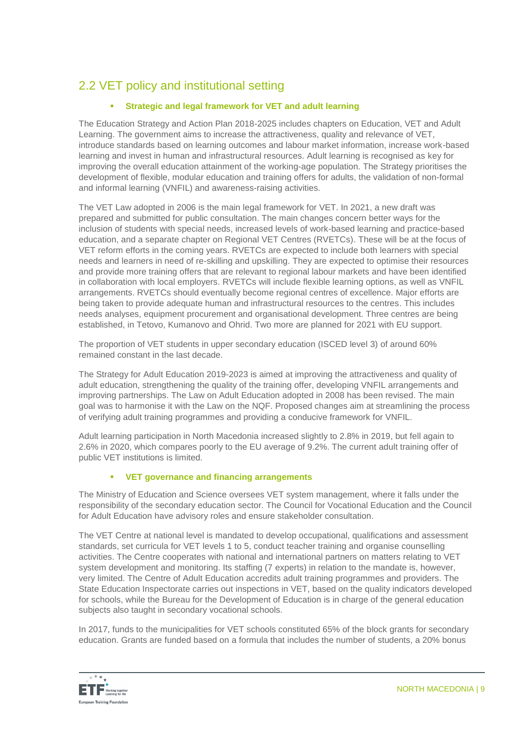# 2.2 VET policy and institutional setting

# **Strategic and legal framework for VET and adult learning**

The Education Strategy and Action Plan 2018-2025 includes chapters on Education, VET and Adult Learning. The government aims to increase the attractiveness, quality and relevance of VET, introduce standards based on learning outcomes and labour market information, increase work-based learning and invest in human and infrastructural resources. Adult learning is recognised as key for improving the overall education attainment of the working-age population. The Strategy prioritises the development of flexible, modular education and training offers for adults, the validation of non-formal and informal learning (VNFIL) and awareness-raising activities.

The VET Law adopted in 2006 is the main legal framework for VET. In 2021, a new draft was prepared and submitted for public consultation. The main changes concern better ways for the inclusion of students with special needs, increased levels of work-based learning and practice-based education, and a separate chapter on Regional VET Centres (RVETCs). These will be at the focus of VET reform efforts in the coming years. RVETCs are expected to include both learners with special needs and learners in need of re-skilling and upskilling. They are expected to optimise their resources and provide more training offers that are relevant to regional labour markets and have been identified in collaboration with local employers. RVETCs will include flexible learning options, as well as VNFIL arrangements. RVETCs should eventually become regional centres of excellence. Major efforts are being taken to provide adequate human and infrastructural resources to the centres. This includes needs analyses, equipment procurement and organisational development. Three centres are being established, in Tetovo, Kumanovo and Ohrid. Two more are planned for 2021 with EU support.

The proportion of VET students in upper secondary education (ISCED level 3) of around 60% remained constant in the last decade.

The Strategy for Adult Education 2019-2023 is aimed at improving the attractiveness and quality of adult education, strengthening the quality of the training offer, developing VNFIL arrangements and improving partnerships. The Law on Adult Education adopted in 2008 has been revised. The main goal was to harmonise it with the Law on the NQF. Proposed changes aim at streamlining the process of verifying adult training programmes and providing a conducive framework for VNFIL.

Adult learning participation in North Macedonia increased slightly to 2.8% in 2019, but fell again to 2.6% in 2020, which compares poorly to the EU average of 9.2%. The current adult training offer of public VET institutions is limited.

# **VET governance and financing arrangements**

The Ministry of Education and Science oversees VET system management, where it falls under the responsibility of the secondary education sector. The Council for Vocational Education and the Council for Adult Education have advisory roles and ensure stakeholder consultation.

The VET Centre at national level is mandated to develop occupational, qualifications and assessment standards, set curricula for VET levels 1 to 5, conduct teacher training and organise counselling activities. The Centre cooperates with national and international partners on matters relating to VET system development and monitoring. Its staffing (7 experts) in relation to the mandate is, however, very limited. The Centre of Adult Education accredits adult training programmes and providers. The State Education Inspectorate carries out inspections in VET, based on the quality indicators developed for schools, while the Bureau for the Development of Education is in charge of the general education subjects also taught in secondary vocational schools.

In 2017, funds to the municipalities for VET schools constituted 65% of the block grants for secondary education. Grants are funded based on a formula that includes the number of students, a 20% bonus

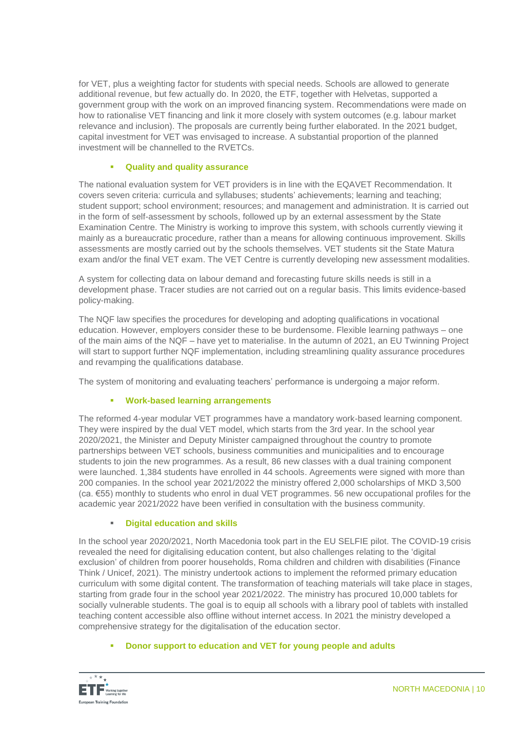for VET, plus a weighting factor for students with special needs. Schools are allowed to generate additional revenue, but few actually do. In 2020, the ETF, together with Helvetas, supported a government group with the work on an improved financing system. Recommendations were made on how to rationalise VET financing and link it more closely with system outcomes (e.g. labour market relevance and inclusion). The proposals are currently being further elaborated. In the 2021 budget, capital investment for VET was envisaged to increase. A substantial proportion of the planned investment will be channelled to the RVETCs.

# **Quality and quality assurance**

The national evaluation system for VET providers is in line with the EQAVET Recommendation. It covers seven criteria: curricula and syllabuses; students' achievements; learning and teaching; student support; school environment; resources; and management and administration. It is carried out in the form of self-assessment by schools, followed up by an external assessment by the State Examination Centre. The Ministry is working to improve this system, with schools currently viewing it mainly as a bureaucratic procedure, rather than a means for allowing continuous improvement. Skills assessments are mostly carried out by the schools themselves. VET students sit the State Matura exam and/or the final VET exam. The VET Centre is currently developing new assessment modalities.

A system for collecting data on labour demand and forecasting future skills needs is still in a development phase. Tracer studies are not carried out on a regular basis. This limits evidence-based policy-making.

The NQF law specifies the procedures for developing and adopting qualifications in vocational education. However, employers consider these to be burdensome. Flexible learning pathways – one of the main aims of the NQF – have yet to materialise. In the autumn of 2021, an EU Twinning Project will start to support further NQF implementation, including streamlining quality assurance procedures and revamping the qualifications database.

The system of monitoring and evaluating teachers' performance is undergoing a major reform.

## **Work-based learning arrangements**

The reformed 4-year modular VET programmes have a mandatory work-based learning component. They were inspired by the dual VET model, which starts from the 3rd year. In the school year 2020/2021, the Minister and Deputy Minister campaigned throughout the country to promote partnerships between VET schools, business communities and municipalities and to encourage students to join the new programmes. As a result, 86 new classes with a dual training component were launched. 1,384 students have enrolled in 44 schools. Agreements were signed with more than 200 companies. In the school year 2021/2022 the ministry offered 2,000 scholarships of MKD 3,500 (ca. €55) monthly to students who enrol in dual VET programmes. 56 new occupational profiles for the academic year 2021/2022 have been verified in consultation with the business community.

## **Digital education and skills**

In the school year 2020/2021, North Macedonia took part in the EU SELFIE pilot. The COVID-19 crisis revealed the need for digitalising education content, but also challenges relating to the 'digital exclusion' of children from poorer households, Roma children and children with disabilities (Finance Think / Unicef, 2021). The ministry undertook actions to implement the reformed primary education curriculum with some digital content. The transformation of teaching materials will take place in stages, starting from grade four in the school year 2021/2022. The ministry has procured 10,000 tablets for socially vulnerable students. The goal is to equip all schools with a library pool of tablets with installed teaching content accessible also offline without internet access. In 2021 the ministry developed a comprehensive strategy for the digitalisation of the education sector.

# **Donor support to education and VET for young people and adults**

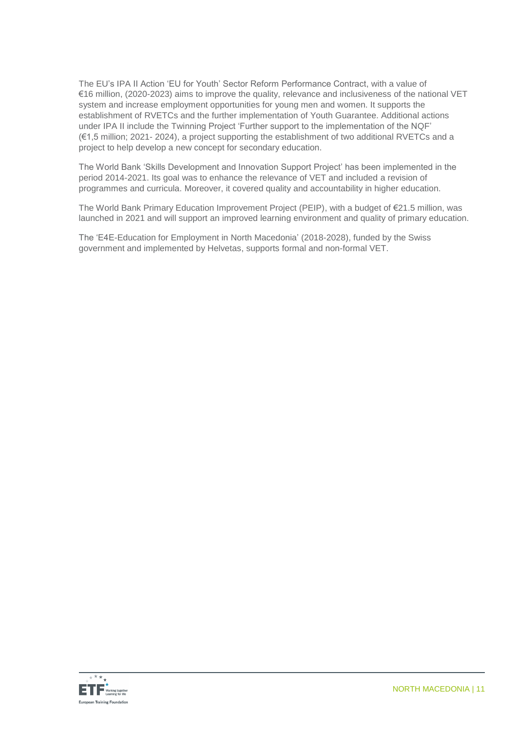The EU's IPA II Action 'EU for Youth' Sector Reform Performance Contract, with a value of €16 million, (2020-2023) aims to improve the quality, relevance and inclusiveness of the national VET system and increase employment opportunities for young men and women. It supports the establishment of RVETCs and the further implementation of Youth Guarantee. Additional actions under IPA II include the Twinning Project 'Further support to the implementation of the NQF' (€1,5 million; 2021- 2024), a project supporting the establishment of two additional RVETCs and a project to help develop a new concept for secondary education.

The World Bank 'Skills Development and Innovation Support Project' has been implemented in the period 2014-2021. Its goal was to enhance the relevance of VET and included a revision of programmes and curricula. Moreover, it covered quality and accountability in higher education.

The World Bank Primary Education Improvement Project (PEIP), with a budget of €21.5 million, was launched in 2021 and will support an improved learning environment and quality of primary education.

The 'E4E-Education for Employment in North Macedonia' (2018-2028), funded by the Swiss government and implemented by Helvetas, supports formal and non-formal VET.

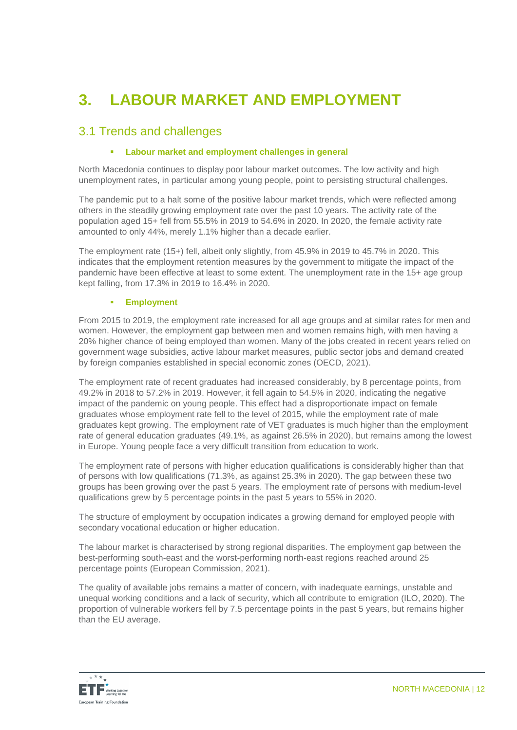# **3. LABOUR MARKET AND EMPLOYMENT**

# 3.1 Trends and challenges

# **Labour market and employment challenges in general**

North Macedonia continues to display poor labour market outcomes. The low activity and high unemployment rates, in particular among young people, point to persisting structural challenges.

The pandemic put to a halt some of the positive labour market trends, which were reflected among others in the steadily growing employment rate over the past 10 years. The activity rate of the population aged 15+ fell from 55.5% in 2019 to 54.6% in 2020. In 2020, the female activity rate amounted to only 44%, merely 1.1% higher than a decade earlier.

The employment rate (15+) fell, albeit only slightly, from 45.9% in 2019 to 45.7% in 2020. This indicates that the employment retention measures by the government to mitigate the impact of the pandemic have been effective at least to some extent. The unemployment rate in the 15+ age group kept falling, from 17.3% in 2019 to 16.4% in 2020.

## **Employment**

From 2015 to 2019, the employment rate increased for all age groups and at similar rates for men and women. However, the employment gap between men and women remains high, with men having a 20% higher chance of being employed than women. Many of the jobs created in recent years relied on government wage subsidies, active labour market measures, public sector jobs and demand created by foreign companies established in special economic zones (OECD, 2021).

The employment rate of recent graduates had increased considerably, by 8 percentage points, from 49.2% in 2018 to 57.2% in 2019. However, it fell again to 54.5% in 2020, indicating the negative impact of the pandemic on young people. This effect had a disproportionate impact on female graduates whose employment rate fell to the level of 2015, while the employment rate of male graduates kept growing. The employment rate of VET graduates is much higher than the employment rate of general education graduates (49.1%, as against 26.5% in 2020), but remains among the lowest in Europe. Young people face a very difficult transition from education to work.

The employment rate of persons with higher education qualifications is considerably higher than that of persons with low qualifications (71.3%, as against 25.3% in 2020). The gap between these two groups has been growing over the past 5 years. The employment rate of persons with medium-level qualifications grew by 5 percentage points in the past 5 years to 55% in 2020.

The structure of employment by occupation indicates a growing demand for employed people with secondary vocational education or higher education.

The labour market is characterised by strong regional disparities. The employment gap between the best-performing south-east and the worst-performing north-east regions reached around 25 percentage points (European Commission, 2021).

The quality of available jobs remains a matter of concern, with inadequate earnings, unstable and unequal working conditions and a lack of security, which all contribute to emigration (ILO, 2020). The proportion of vulnerable workers fell by 7.5 percentage points in the past 5 years, but remains higher than the EU average.

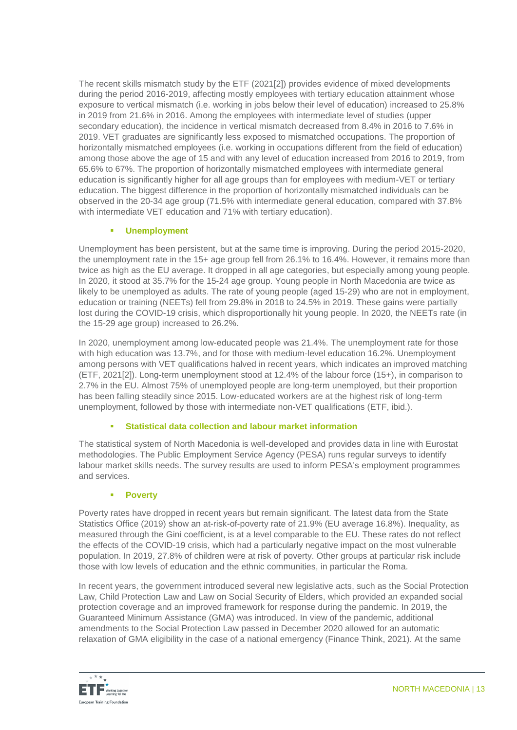The recent skills mismatch study by the ETF (2021[2]) provides evidence of mixed developments during the period 2016-2019, affecting mostly employees with tertiary education attainment whose exposure to vertical mismatch (i.e. working in jobs below their level of education) increased to 25.8% in 2019 from 21.6% in 2016. Among the employees with intermediate level of studies (upper secondary education), the incidence in vertical mismatch decreased from 8.4% in 2016 to 7.6% in 2019. VET graduates are significantly less exposed to mismatched occupations. The proportion of horizontally mismatched employees (i.e. working in occupations different from the field of education) among those above the age of 15 and with any level of education increased from 2016 to 2019, from 65.6% to 67%. The proportion of horizontally mismatched employees with intermediate general education is significantly higher for all age groups than for employees with medium-VET or tertiary education. The biggest difference in the proportion of horizontally mismatched individuals can be observed in the 20-34 age group (71.5% with intermediate general education, compared with 37.8% with intermediate VET education and 71% with tertiary education).

# **Unemployment**

Unemployment has been persistent, but at the same time is improving. During the period 2015-2020, the unemployment rate in the 15+ age group fell from 26.1% to 16.4%. However, it remains more than twice as high as the EU average. It dropped in all age categories, but especially among young people. In 2020, it stood at 35.7% for the 15-24 age group. Young people in North Macedonia are twice as likely to be unemployed as adults. The rate of young people (aged 15-29) who are not in employment, education or training (NEETs) fell from 29.8% in 2018 to 24.5% in 2019. These gains were partially lost during the COVID-19 crisis, which disproportionally hit young people. In 2020, the NEETs rate (in the 15-29 age group) increased to 26.2%.

In 2020, unemployment among low-educated people was 21.4%. The unemployment rate for those with high education was 13.7%, and for those with medium-level education 16.2%. Unemployment among persons with VET qualifications halved in recent years, which indicates an improved matching (ETF, 2021[2]). Long-term unemployment stood at 12.4% of the labour force (15+), in comparison to 2.7% in the EU. Almost 75% of unemployed people are long-term unemployed, but their proportion has been falling steadily since 2015. Low-educated workers are at the highest risk of long-term unemployment, followed by those with intermediate non-VET qualifications (ETF, ibid.).

# **Statistical data collection and labour market information**

The statistical system of North Macedonia is well-developed and provides data in line with Eurostat methodologies. The Public Employment Service Agency (PESA) runs regular surveys to identify labour market skills needs. The survey results are used to inform PESA's employment programmes and services.

# **Poverty**

Poverty rates have dropped in recent years but remain significant. The latest data from the State Statistics Office (2019) show an at-risk-of-poverty rate of 21.9% (EU average 16.8%). Inequality, as measured through the Gini coefficient, is at a level comparable to the EU. These rates do not reflect the effects of the COVID-19 crisis, which had a particularly negative impact on the most vulnerable population. In 2019, 27.8% of children were at risk of poverty. Other groups at particular risk include those with low levels of education and the ethnic communities, in particular the Roma.

In recent years, the government introduced several new legislative acts, such as the Social Protection Law, Child Protection Law and Law on Social Security of Elders, which provided an expanded social protection coverage and an improved framework for response during the pandemic. In 2019, the Guaranteed Minimum Assistance (GMA) was introduced. In view of the pandemic, additional amendments to the Social Protection Law passed in December 2020 allowed for an automatic relaxation of GMA eligibility in the case of a national emergency (Finance Think, 2021). At the same

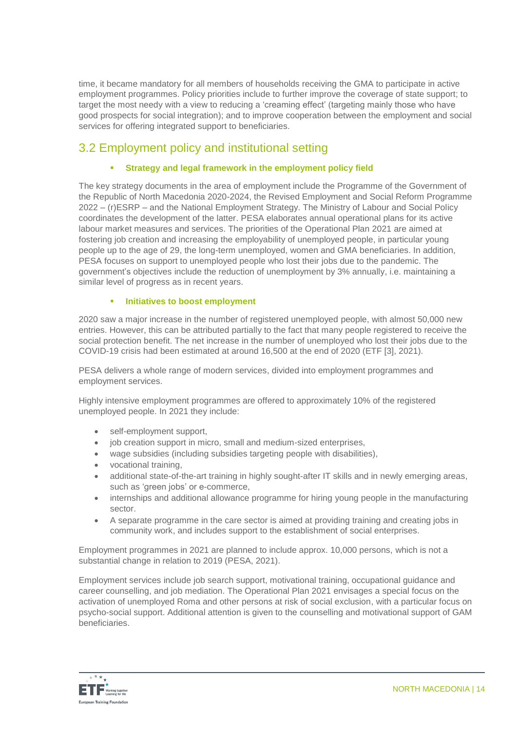time, it became mandatory for all members of households receiving the GMA to participate in active employment programmes. Policy priorities include to further improve the coverage of state support; to target the most needy with a view to reducing a 'creaming effect' (targeting mainly those who have good prospects for social integration); and to improve cooperation between the employment and social services for offering integrated support to beneficiaries.

# 3.2 Employment policy and institutional setting

# **Strategy and legal framework in the employment policy field**

The key strategy documents in the area of employment include the Programme of the Government of the Republic of North Macedonia 2020-2024, the Revised Employment and Social Reform Programme 2022 – (r)ESRP – and the National Employment Strategy. The Ministry of Labour and Social Policy coordinates the development of the latter. PESA elaborates annual operational plans for its active labour market measures and services. The priorities of the Operational Plan 2021 are aimed at fostering job creation and increasing the employability of unemployed people, in particular young people up to the age of 29, the long-term unemployed, women and GMA beneficiaries. In addition, PESA focuses on support to unemployed people who lost their jobs due to the pandemic. The government's objectives include the reduction of unemployment by 3% annually, i.e. maintaining a similar level of progress as in recent years.

# **Initiatives to boost employment**

2020 saw a major increase in the number of registered unemployed people, with almost 50,000 new entries. However, this can be attributed partially to the fact that many people registered to receive the social protection benefit. The net increase in the number of unemployed who lost their jobs due to the COVID-19 crisis had been estimated at around 16,500 at the end of 2020 (ETF [3], 2021).

PESA delivers a whole range of modern services, divided into employment programmes and employment services.

Highly intensive employment programmes are offered to approximately 10% of the registered unemployed people. In 2021 they include:

- self-employment support,
- job creation support in micro, small and medium-sized enterprises,
- wage subsidies (including subsidies targeting people with disabilities),
- vocational training,
- additional state-of-the-art training in highly sought-after IT skills and in newly emerging areas, such as 'green jobs' or e-commerce,
- internships and additional allowance programme for hiring young people in the manufacturing sector.
- A separate programme in the care sector is aimed at providing training and creating jobs in community work, and includes support to the establishment of social enterprises.

Employment programmes in 2021 are planned to include approx. 10,000 persons, which is not a substantial change in relation to 2019 (PESA, 2021).

Employment services include job search support, motivational training, occupational guidance and career counselling, and job mediation. The Operational Plan 2021 envisages a special focus on the activation of unemployed Roma and other persons at risk of social exclusion, with a particular focus on psycho-social support. Additional attention is given to the counselling and motivational support of GAM beneficiaries.

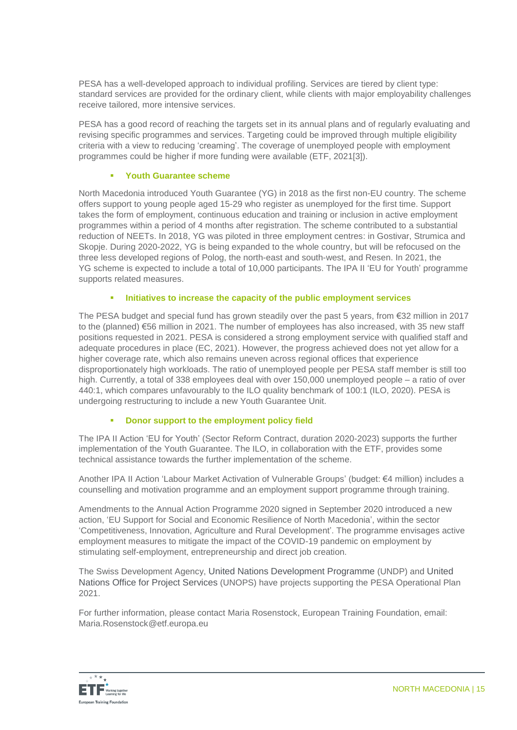PESA has a well-developed approach to individual profiling. Services are tiered by client type: standard services are provided for the ordinary client, while clients with major employability challenges receive tailored, more intensive services.

PESA has a good record of reaching the targets set in its annual plans and of regularly evaluating and revising specific programmes and services. Targeting could be improved through multiple eligibility criteria with a view to reducing 'creaming'. The coverage of unemployed people with employment programmes could be higher if more funding were available (ETF, 2021[3]).

## **Youth Guarantee scheme**

North Macedonia introduced Youth Guarantee (YG) in 2018 as the first non-EU country. The scheme offers support to young people aged 15-29 who register as unemployed for the first time. Support takes the form of employment, continuous education and training or inclusion in active employment programmes within a period of 4 months after registration. The scheme contributed to a substantial reduction of NEETs. In 2018, YG was piloted in three employment centres: in Gostivar, Strumica and Skopje. During 2020-2022, YG is being expanded to the whole country, but will be refocused on the three less developed regions of Polog, the north-east and south-west, and Resen. In 2021, the YG scheme is expected to include a total of 10,000 participants. The IPA II 'EU for Youth' programme supports related measures.

# **Initiatives to increase the capacity of the public employment services**

The PESA budget and special fund has grown steadily over the past 5 years, from  $\epsilon$ 32 million in 2017 to the (planned) €56 million in 2021. The number of employees has also increased, with 35 new staff positions requested in 2021. PESA is considered a strong employment service with qualified staff and adequate procedures in place (EC, 2021). However, the progress achieved does not yet allow for a higher coverage rate, which also remains uneven across regional offices that experience disproportionately high workloads. The ratio of unemployed people per PESA staff member is still too high. Currently, a total of 338 employees deal with over 150,000 unemployed people – a ratio of over 440:1, which compares unfavourably to the ILO quality benchmark of 100:1 (ILO, 2020). PESA is undergoing restructuring to include a new Youth Guarantee Unit.

# **EXECUTE:** Donor support to the employment policy field

The IPA II Action 'EU for Youth' (Sector Reform Contract, duration 2020-2023) supports the further implementation of the Youth Guarantee. The ILO, in collaboration with the ETF, provides some technical assistance towards the further implementation of the scheme.

Another IPA II Action 'Labour Market Activation of Vulnerable Groups' (budget: €4 million) includes a counselling and motivation programme and an employment support programme through training.

Amendments to the Annual Action Programme 2020 signed in September 2020 introduced a new action, 'EU Support for Social and Economic Resilience of North Macedonia', within the sector 'Competitiveness, Innovation, Agriculture and Rural Development'. The programme envisages active employment measures to mitigate the impact of the COVID-19 pandemic on employment by stimulating self-employment, entrepreneurship and direct job creation.

The Swiss Development Agency, United Nations Development Programme (UNDP) and United Nations Office for Project Services (UNOPS) have projects supporting the PESA Operational Plan 2021.

For further information, please contact Maria Rosenstock, European Training Foundation, email: Maria.Rosenstock@etf.europa.eu

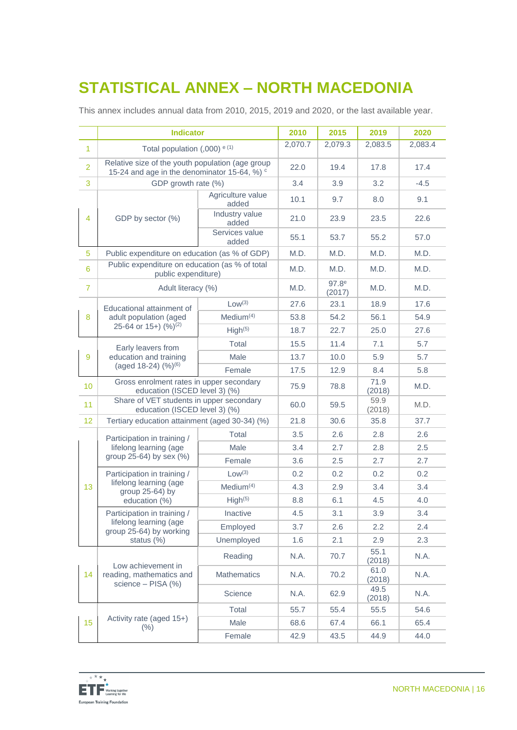# **STATISTICAL ANNEX – NORTH MACEDONIA**

This annex includes annual data from 2010, 2015, 2019 and 2020, or the last available year.

|                | <b>Indicator</b>                                                                                 |                            | 2010    | 2015                        | 2019           | 2020    |
|----------------|--------------------------------------------------------------------------------------------------|----------------------------|---------|-----------------------------|----------------|---------|
| $\overline{1}$ | Total population (,000) $e(1)$                                                                   |                            | 2,070.7 | 2,079.3                     | 2,083.5        | 2,083.4 |
| $\overline{2}$ | Relative size of the youth population (age group<br>15-24 and age in the denominator 15-64, %) c |                            | 22.0    | 19.4                        | 17.8           | 17.4    |
| 3              | GDP growth rate (%)                                                                              |                            | 3.4     | 3.9                         | 3.2            | $-4.5$  |
| $\overline{4}$ | GDP by sector (%)                                                                                | Agriculture value<br>added | 10.1    | 9.7                         | 8.0            | 9.1     |
|                |                                                                                                  | Industry value<br>added    | 21.0    | 23.9                        | 23.5           | 22.6    |
|                |                                                                                                  | Services value<br>added    | 55.1    | 53.7                        | 55.2           | 57.0    |
| 5              | Public expenditure on education (as % of GDP)                                                    |                            | M.D.    | M.D.                        | M.D.           | M.D.    |
| 6              | Public expenditure on education (as % of total<br>public expenditure)                            |                            | M.D.    | M.D.                        | M.D.           | M.D.    |
| $\overline{7}$ | Adult literacy (%)                                                                               |                            | M.D.    | 97.8 <sup>e</sup><br>(2017) | M.D.           | M.D.    |
|                | Educational attainment of                                                                        | Low <sup>(3)</sup>         | 27.6    | 23.1                        | 18.9           | 17.6    |
| 8              | adult population (aged                                                                           | Median <sup>(4)</sup>      | 53.8    | 54.2                        | 56.1           | 54.9    |
|                | 25-64 or 15+) (%) <sup>(2)</sup>                                                                 | High <sup>(5)</sup>        | 18.7    | 22.7                        | 25.0           | 27.6    |
|                | Early leavers from                                                                               | Total                      | 15.5    | 11.4                        | 7.1            | 5.7     |
| 9              | education and training                                                                           | Male                       | 13.7    | 10.0                        | 5.9            | 5.7     |
|                | (aged 18-24) (%) <sup>(6)</sup>                                                                  | Female                     | 17.5    | 12.9                        | 8.4            | 5.8     |
| 10             | Gross enrolment rates in upper secondary<br>education (ISCED level 3) (%)                        |                            | 75.9    | 78.8                        | 71.9<br>(2018) | M.D.    |
| 11             | Share of VET students in upper secondary<br>education (ISCED level 3) (%)                        |                            | 60.0    | 59.5                        | 59.9<br>(2018) | M.D.    |
| 12             | Tertiary education attainment (aged 30-34) (%)                                                   |                            | 21.8    | 30.6                        | 35.8           | 37.7    |
|                | Participation in training /<br>lifelong learning (age<br>group 25-64) by sex (%)                 | Total                      | 3.5     | 2.6                         | 2.8            | 2.6     |
|                |                                                                                                  | Male                       | 3.4     | 2.7                         | 2.8            | 2.5     |
|                |                                                                                                  | Female                     | 3.6     | 2.5                         | 2.7            | 2.7     |
|                | Participation in training /<br>lifelong learning (age<br>group 25-64) by<br>education (%)        | Low <sup>(3)</sup>         | 0.2     | 0.2                         | 0.2            | 0.2     |
| 13             |                                                                                                  | Median <sup>(4)</sup>      | 4.3     | 2.9                         | 3.4            | 3.4     |
|                |                                                                                                  | High <sup>(5)</sup>        | 8.8     | 6.1                         | 4.5            | 4.0     |
|                | Participation in training /<br>lifelong learning (age<br>group 25-64) by working<br>status (%)   | Inactive                   | 4.5     | 3.1                         | 3.9            | 3.4     |
|                |                                                                                                  | Employed                   | 3.7     | 2.6                         | 2.2            | 2.4     |
|                |                                                                                                  | Unemployed                 | 1.6     | 2.1                         | 2.9            | 2.3     |
| 14             | Low achievement in<br>reading, mathematics and<br>science - PISA (%)                             | Reading                    | N.A.    | 70.7                        | 55.1<br>(2018) | N.A.    |
|                |                                                                                                  | <b>Mathematics</b>         | N.A.    | 70.2                        | 61.0<br>(2018) | N.A.    |
|                |                                                                                                  | Science                    | N.A.    | 62.9                        | 49.5<br>(2018) | N.A.    |
|                | Activity rate (aged 15+)<br>(% )                                                                 | Total                      | 55.7    | 55.4                        | 55.5           | 54.6    |
| 15             |                                                                                                  | Male                       | 68.6    | 67.4                        | 66.1           | 65.4    |
|                |                                                                                                  | Female                     | 42.9    | 43.5                        | 44.9           | 44.0    |

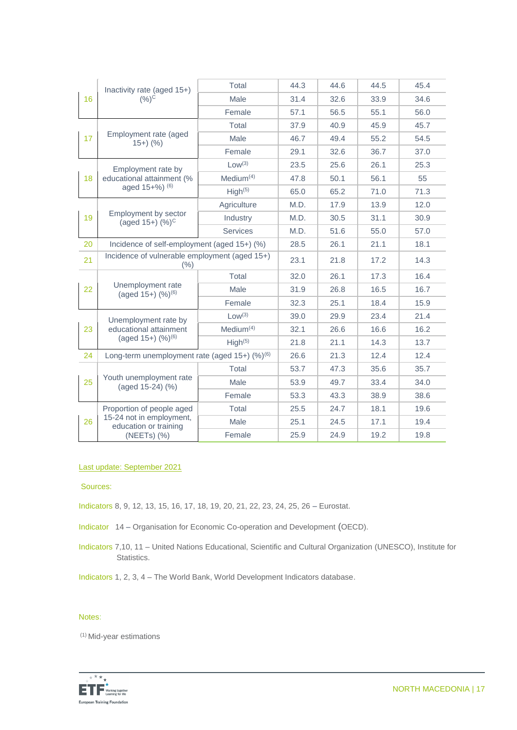| 16 | Inactivity rate (aged 15+)<br>$(9/6)$ <sup>C</sup>                                            | <b>Total</b>        | 44.3 | 44.6 | 44.5 | 45.4 |
|----|-----------------------------------------------------------------------------------------------|---------------------|------|------|------|------|
|    |                                                                                               | Male                | 31.4 | 32.6 | 33.9 | 34.6 |
|    |                                                                                               | Female              | 57.1 | 56.5 | 55.1 | 56.0 |
|    | Employment rate (aged<br>$15+)$ (%)                                                           | Total               | 37.9 | 40.9 | 45.9 | 45.7 |
| 17 |                                                                                               | Male                | 46.7 | 49.4 | 55.2 | 54.5 |
|    |                                                                                               | Female              | 29.1 | 32.6 | 36.7 | 37.0 |
| 18 | Employment rate by<br>educational attainment (%<br>aged 15+%) (6)                             | Low <sup>(3)</sup>  | 23.5 | 25.6 | 26.1 | 25.3 |
|    |                                                                                               | Medium $(4)$        | 47.8 | 50.1 | 56.1 | 55   |
|    |                                                                                               | High <sup>(5)</sup> | 65.0 | 65.2 | 71.0 | 71.3 |
|    | Employment by sector<br>(aged $15+$ ) $(\%)^C$                                                | Agriculture         | M.D. | 17.9 | 13.9 | 12.0 |
| 19 |                                                                                               | Industry            | M.D. | 30.5 | 31.1 | 30.9 |
|    |                                                                                               | <b>Services</b>     | M.D. | 51.6 | 55.0 | 57.0 |
| 20 | Incidence of self-employment (aged 15+) (%)                                                   |                     | 28.5 | 26.1 | 21.1 | 18.1 |
| 21 | Incidence of vulnerable employment (aged 15+)<br>(%)                                          |                     | 23.1 | 21.8 | 17.2 | 14.3 |
|    | Unemployment rate<br>(aged 15+) (%) <sup>(6)</sup>                                            | Total               | 32.0 | 26.1 | 17.3 | 16.4 |
| 22 |                                                                                               | Male                | 31.9 | 26.8 | 16.5 | 16.7 |
|    |                                                                                               | Female              | 32.3 | 25.1 | 18.4 | 15.9 |
|    | Unemployment rate by<br>educational attainment<br>(aged $15+$ ) $(%)^{(6)}$                   | Low <sup>(3)</sup>  | 39.0 | 29.9 | 23.4 | 21.4 |
| 23 |                                                                                               | Medium $(4)$        | 32.1 | 26.6 | 16.6 | 16.2 |
|    |                                                                                               | High <sup>(5)</sup> | 21.8 | 21.1 | 14.3 | 13.7 |
| 24 | Long-term unemployment rate (aged $15+)$ (%) <sup>(6)</sup>                                   |                     | 26.6 | 21.3 | 12.4 | 12.4 |
|    | Youth unemployment rate<br>(aged 15-24) (%)                                                   | Total               | 53.7 | 47.3 | 35.6 | 35.7 |
| 25 |                                                                                               | Male                | 53.9 | 49.7 | 33.4 | 34.0 |
|    |                                                                                               | Female              | 53.3 | 43.3 | 38.9 | 38.6 |
| 26 | Proportion of people aged<br>15-24 not in employment,<br>education or training<br>(NEETs) (%) | Total               | 25.5 | 24.7 | 18.1 | 19.6 |
|    |                                                                                               | Male                | 25.1 | 24.5 | 17.1 | 19.4 |
|    |                                                                                               | Female              | 25.9 | 24.9 | 19.2 | 19.8 |

#### Last update: September 2021

Sources:

Indicators 8, 9, 12, 13, 15, 16, 17, 18, 19, 20, 21, 22, 23, 24, 25, 26 – Eurostat.

Indicator 14 – Organisation for Economic Co-operation and Development (OECD).

Indicators 7,10, 11 – United Nations Educational, Scientific and Cultural Organization (UNESCO), Institute for Statistics.

Indicators 1, 2, 3, 4 – The World Bank, World Development Indicators database.

#### Notes:

(1) Mid-year estimations

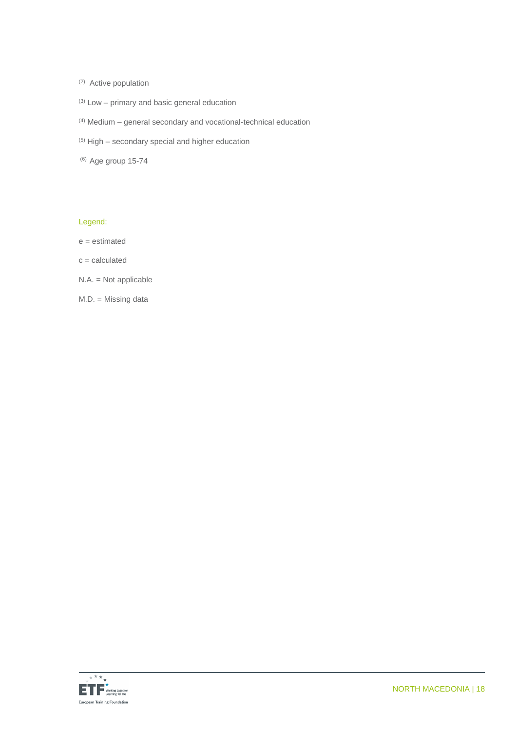- (2) Active population
- $(3)$  Low primary and basic general education
- (4) Medium general secondary and vocational-technical education
- $(5)$  High secondary special and higher education
- (6) Age group 15-74

## Legend:

- e = estimated
- $c =$  calculated
- N.A. = Not applicable
- M.D. = Missing data

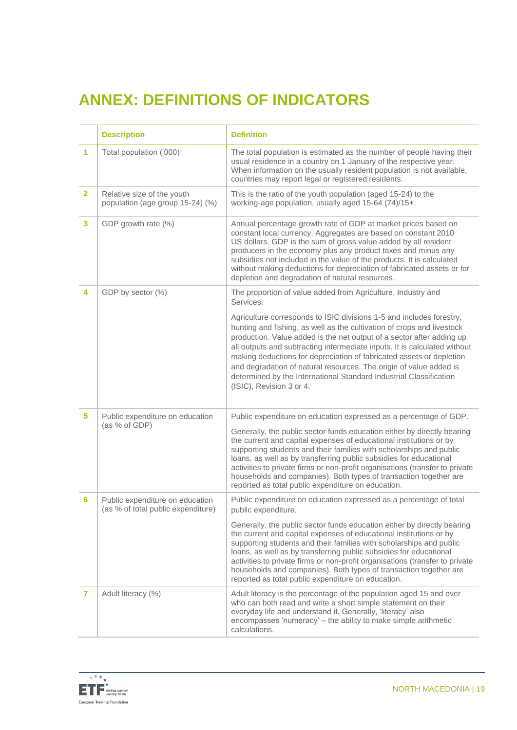# **ANNEX: DEFINITIONS OF INDICATORS**

|                | <b>Description</b>                                                    | <b>Definition</b>                                                                                                                                                                                                                                                                                                                                                                                                                                                                                                                                    |
|----------------|-----------------------------------------------------------------------|------------------------------------------------------------------------------------------------------------------------------------------------------------------------------------------------------------------------------------------------------------------------------------------------------------------------------------------------------------------------------------------------------------------------------------------------------------------------------------------------------------------------------------------------------|
| 1              | Total population ('000)                                               | The total population is estimated as the number of people having their<br>usual residence in a country on 1 January of the respective year.<br>When information on the usually resident population is not available,<br>countries may report legal or registered residents.                                                                                                                                                                                                                                                                          |
| $\overline{2}$ | Relative size of the youth<br>population (age group 15-24) (%)        | This is the ratio of the youth population (aged 15-24) to the<br>working-age population, usually aged 15-64 (74)/15+.                                                                                                                                                                                                                                                                                                                                                                                                                                |
| 3              | GDP growth rate (%)                                                   | Annual percentage growth rate of GDP at market prices based on<br>constant local currency. Aggregates are based on constant 2010<br>US dollars. GDP is the sum of gross value added by all resident<br>producers in the economy plus any product taxes and minus any<br>subsidies not included in the value of the products. It is calculated<br>without making deductions for depreciation of fabricated assets or for<br>depletion and degradation of natural resources.                                                                           |
| 4              | GDP by sector (%)                                                     | The proportion of value added from Agriculture, Industry and<br>Services.                                                                                                                                                                                                                                                                                                                                                                                                                                                                            |
|                |                                                                       | Agriculture corresponds to ISIC divisions 1-5 and includes forestry,<br>hunting and fishing, as well as the cultivation of crops and livestock<br>production. Value added is the net output of a sector after adding up<br>all outputs and subtracting intermediate inputs. It is calculated without<br>making deductions for depreciation of fabricated assets or depletion<br>and degradation of natural resources. The origin of value added is<br>determined by the International Standard Industrial Classification<br>(ISIC), Revision 3 or 4. |
| 5              | Public expenditure on education<br>(as % of GDP)                      | Public expenditure on education expressed as a percentage of GDP.                                                                                                                                                                                                                                                                                                                                                                                                                                                                                    |
|                |                                                                       | Generally, the public sector funds education either by directly bearing<br>the current and capital expenses of educational institutions or by<br>supporting students and their families with scholarships and public<br>loans, as well as by transferring public subsidies for educational<br>activities to private firms or non-profit organisations (transfer to private<br>households and companies). Both types of transaction together are<br>reported as total public expenditure on education.                                                |
| 6              | Public expenditure on education<br>(as % of total public expenditure) | Public expenditure on education expressed as a percentage of total<br>public expenditure.                                                                                                                                                                                                                                                                                                                                                                                                                                                            |
|                |                                                                       | Generally, the public sector funds education either by directly bearing<br>the current and capital expenses of educational institutions or by<br>supporting students and their families with scholarships and public<br>loans, as well as by transferring public subsidies for educational<br>activities to private firms or non-profit organisations (transfer to private<br>households and companies). Both types of transaction together are<br>reported as total public expenditure on education.                                                |
| 7              | Adult literacy (%)                                                    | Adult literacy is the percentage of the population aged 15 and over<br>who can both read and write a short simple statement on their<br>everyday life and understand it. Generally, 'literacy' also<br>encompasses 'numeracy' - the ability to make simple arithmetic<br>calculations.                                                                                                                                                                                                                                                               |

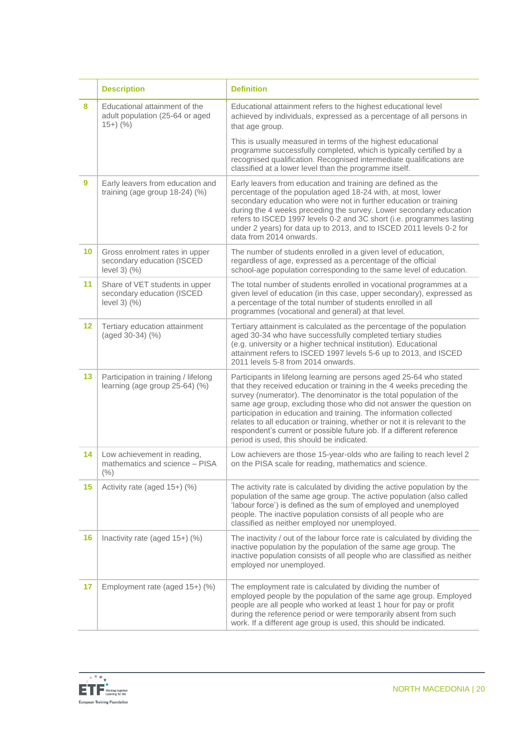|         | <b>Description</b>                                                                 | <b>Definition</b>                                                                                                                                                                                                                                                                                                                                                                                                                                                                                                                                                  |
|---------|------------------------------------------------------------------------------------|--------------------------------------------------------------------------------------------------------------------------------------------------------------------------------------------------------------------------------------------------------------------------------------------------------------------------------------------------------------------------------------------------------------------------------------------------------------------------------------------------------------------------------------------------------------------|
| 8       | Educational attainment of the<br>adult population (25-64 or aged<br>$15+)$ (%)     | Educational attainment refers to the highest educational level<br>achieved by individuals, expressed as a percentage of all persons in<br>that age group.                                                                                                                                                                                                                                                                                                                                                                                                          |
|         |                                                                                    | This is usually measured in terms of the highest educational<br>programme successfully completed, which is typically certified by a<br>recognised qualification. Recognised intermediate qualifications are<br>classified at a lower level than the programme itself.                                                                                                                                                                                                                                                                                              |
| 9       | Early leavers from education and<br>training (age group 18-24) (%)                 | Early leavers from education and training are defined as the<br>percentage of the population aged 18-24 with, at most, lower<br>secondary education who were not in further education or training<br>during the 4 weeks preceding the survey. Lower secondary education<br>refers to ISCED 1997 levels 0-2 and 3C short (i.e. programmes lasting<br>under 2 years) for data up to 2013, and to ISCED 2011 levels 0-2 for<br>data from 2014 onwards.                                                                                                                |
| 10      | Gross enrolment rates in upper<br>secondary education (ISCED<br>level $3)$ $(\% )$ | The number of students enrolled in a given level of education,<br>regardless of age, expressed as a percentage of the official<br>school-age population corresponding to the same level of education.                                                                                                                                                                                                                                                                                                                                                              |
| 11      | Share of VET students in upper<br>secondary education (ISCED<br>level $3)$ $(\% )$ | The total number of students enrolled in vocational programmes at a<br>given level of education (in this case, upper secondary), expressed as<br>a percentage of the total number of students enrolled in all<br>programmes (vocational and general) at that level.                                                                                                                                                                                                                                                                                                |
| $12 \,$ | Tertiary education attainment<br>(aged 30-34) (%)                                  | Tertiary attainment is calculated as the percentage of the population<br>aged 30-34 who have successfully completed tertiary studies<br>(e.g. university or a higher technical institution). Educational<br>attainment refers to ISCED 1997 levels 5-6 up to 2013, and ISCED<br>2011 levels 5-8 from 2014 onwards.                                                                                                                                                                                                                                                 |
| 13      | Participation in training / lifelong<br>learning (age group 25-64) (%)             | Participants in lifelong learning are persons aged 25-64 who stated<br>that they received education or training in the 4 weeks preceding the<br>survey (numerator). The denominator is the total population of the<br>same age group, excluding those who did not answer the question on<br>participation in education and training. The information collected<br>relates to all education or training, whether or not it is relevant to the<br>respondent's current or possible future job. If a different reference<br>period is used, this should be indicated. |
| 14      | Low achievement in reading,<br>mathematics and science - PISA<br>$(\% )$           | Low achievers are those 15-year-olds who are failing to reach level 2<br>on the PISA scale for reading, mathematics and science.                                                                                                                                                                                                                                                                                                                                                                                                                                   |
| 15      | Activity rate (aged 15+) (%)                                                       | The activity rate is calculated by dividing the active population by the<br>population of the same age group. The active population (also called<br>'labour force') is defined as the sum of employed and unemployed<br>people. The inactive population consists of all people who are<br>classified as neither employed nor unemployed.                                                                                                                                                                                                                           |
| 16      | Inactivity rate (aged 15+) (%)                                                     | The inactivity / out of the labour force rate is calculated by dividing the<br>inactive population by the population of the same age group. The<br>inactive population consists of all people who are classified as neither<br>employed nor unemployed.                                                                                                                                                                                                                                                                                                            |
| 17      | Employment rate (aged 15+) (%)                                                     | The employment rate is calculated by dividing the number of<br>employed people by the population of the same age group. Employed<br>people are all people who worked at least 1 hour for pay or profit<br>during the reference period or were temporarily absent from such<br>work. If a different age group is used, this should be indicated.                                                                                                                                                                                                                    |

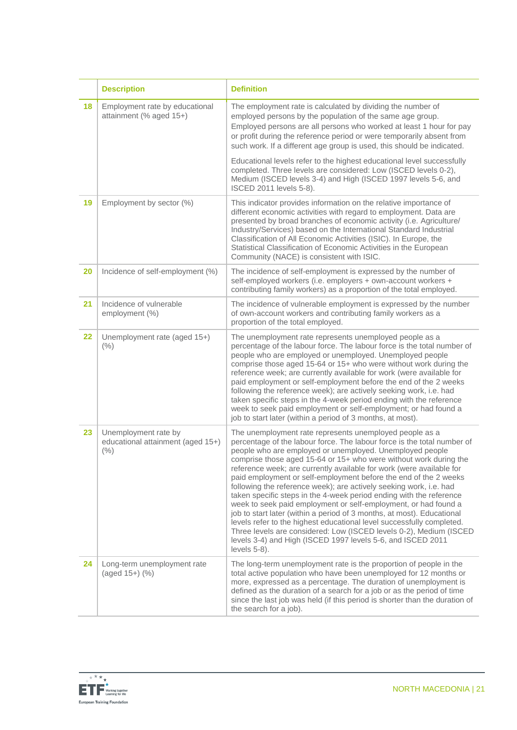|    | <b>Description</b>                                                | <b>Definition</b>                                                                                                                                                                                                                                                                                                                                                                                                                                                                                                                                                                                                                                                                                                                                                                                                                                                                                                                          |
|----|-------------------------------------------------------------------|--------------------------------------------------------------------------------------------------------------------------------------------------------------------------------------------------------------------------------------------------------------------------------------------------------------------------------------------------------------------------------------------------------------------------------------------------------------------------------------------------------------------------------------------------------------------------------------------------------------------------------------------------------------------------------------------------------------------------------------------------------------------------------------------------------------------------------------------------------------------------------------------------------------------------------------------|
| 18 | Employment rate by educational<br>attainment (% aged 15+)         | The employment rate is calculated by dividing the number of<br>employed persons by the population of the same age group.<br>Employed persons are all persons who worked at least 1 hour for pay<br>or profit during the reference period or were temporarily absent from<br>such work. If a different age group is used, this should be indicated.                                                                                                                                                                                                                                                                                                                                                                                                                                                                                                                                                                                         |
|    |                                                                   | Educational levels refer to the highest educational level successfully<br>completed. Three levels are considered: Low (ISCED levels 0-2),<br>Medium (ISCED levels 3-4) and High (ISCED 1997 levels 5-6, and<br>ISCED 2011 levels 5-8).                                                                                                                                                                                                                                                                                                                                                                                                                                                                                                                                                                                                                                                                                                     |
| 19 | Employment by sector (%)                                          | This indicator provides information on the relative importance of<br>different economic activities with regard to employment. Data are<br>presented by broad branches of economic activity (i.e. Agriculture/<br>Industry/Services) based on the International Standard Industrial<br>Classification of All Economic Activities (ISIC). In Europe, the<br>Statistical Classification of Economic Activities in the European<br>Community (NACE) is consistent with ISIC.                                                                                                                                                                                                                                                                                                                                                                                                                                                                   |
| 20 | Incidence of self-employment (%)                                  | The incidence of self-employment is expressed by the number of<br>self-employed workers (i.e. employers + own-account workers +<br>contributing family workers) as a proportion of the total employed.                                                                                                                                                                                                                                                                                                                                                                                                                                                                                                                                                                                                                                                                                                                                     |
| 21 | Incidence of vulnerable<br>employment (%)                         | The incidence of vulnerable employment is expressed by the number<br>of own-account workers and contributing family workers as a<br>proportion of the total employed.                                                                                                                                                                                                                                                                                                                                                                                                                                                                                                                                                                                                                                                                                                                                                                      |
| 22 | Unemployment rate (aged 15+)<br>(% )                              | The unemployment rate represents unemployed people as a<br>percentage of the labour force. The labour force is the total number of<br>people who are employed or unemployed. Unemployed people<br>comprise those aged 15-64 or 15+ who were without work during the<br>reference week; are currently available for work (were available for<br>paid employment or self-employment before the end of the 2 weeks<br>following the reference week); are actively seeking work, i.e. had<br>taken specific steps in the 4-week period ending with the reference<br>week to seek paid employment or self-employment; or had found a<br>job to start later (within a period of 3 months, at most).                                                                                                                                                                                                                                              |
| 23 | Unemployment rate by<br>educational attainment (aged 15+)<br>(% ) | The unemployment rate represents unemployed people as a<br>percentage of the labour force. The labour force is the total number of<br>people who are employed or unemployed. Unemployed people<br>comprise those aged 15-64 or 15+ who were without work during the<br>reference week; are currently available for work (were available for<br>paid employment or self-employment before the end of the 2 weeks<br>following the reference week); are actively seeking work, i.e. had<br>taken specific steps in the 4-week period ending with the reference<br>week to seek paid employment or self-employment, or had found a<br>job to start later (within a period of 3 months, at most). Educational<br>levels refer to the highest educational level successfully completed.<br>Three levels are considered: Low (ISCED levels 0-2), Medium (ISCED<br>levels 3-4) and High (ISCED 1997 levels 5-6, and ISCED 2011<br>levels $5-8$ ). |
| 24 | Long-term unemployment rate<br>(aged 15+) (%)                     | The long-term unemployment rate is the proportion of people in the<br>total active population who have been unemployed for 12 months or<br>more, expressed as a percentage. The duration of unemployment is<br>defined as the duration of a search for a job or as the period of time<br>since the last job was held (if this period is shorter than the duration of<br>the search for a job).                                                                                                                                                                                                                                                                                                                                                                                                                                                                                                                                             |

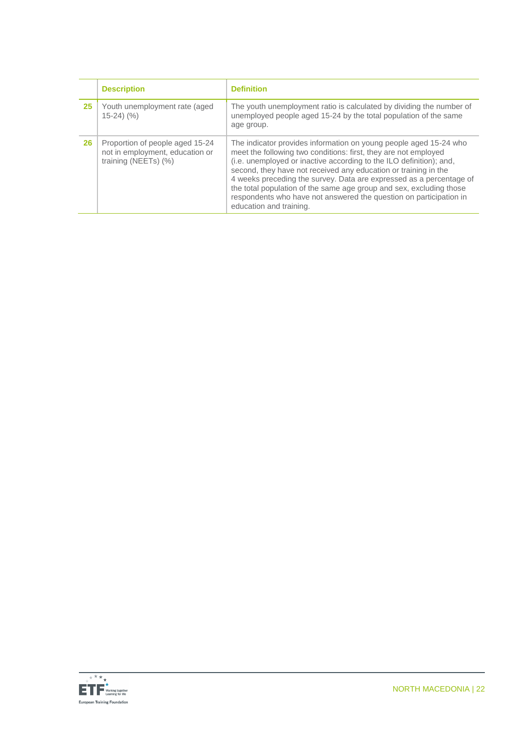|    | <b>Description</b>                                                                         | <b>Definition</b>                                                                                                                                                                                                                                                                                                                                                                                                                                                                                                             |
|----|--------------------------------------------------------------------------------------------|-------------------------------------------------------------------------------------------------------------------------------------------------------------------------------------------------------------------------------------------------------------------------------------------------------------------------------------------------------------------------------------------------------------------------------------------------------------------------------------------------------------------------------|
| 25 | Youth unemployment rate (aged<br>$15-24$ $(%$                                              | The youth unemployment ratio is calculated by dividing the number of<br>unemployed people aged 15-24 by the total population of the same<br>age group.                                                                                                                                                                                                                                                                                                                                                                        |
| 26 | Proportion of people aged 15-24<br>not in employment, education or<br>training (NEETs) (%) | The indicator provides information on young people aged 15-24 who<br>meet the following two conditions: first, they are not employed<br>(i.e. unemployed or inactive according to the ILO definition); and,<br>second, they have not received any education or training in the<br>4 weeks preceding the survey. Data are expressed as a percentage of<br>the total population of the same age group and sex, excluding those<br>respondents who have not answered the question on participation in<br>education and training. |

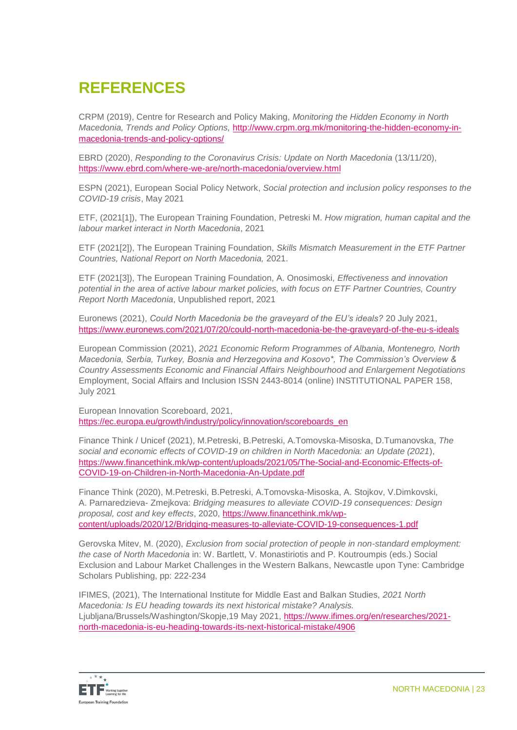# **REFERENCES**

CRPM (2019), Centre for Research and Policy Making, *Monitoring the Hidden Economy in North Macedonia, Trends and Policy Options,* [http://www.crpm.org.mk/monitoring-the-hidden-economy-in](http://www.crpm.org.mk/monitoring-the-hidden-economy-in-macedonia-trends-and-policy-options/)[macedonia-trends-and-policy-options/](http://www.crpm.org.mk/monitoring-the-hidden-economy-in-macedonia-trends-and-policy-options/)

EBRD (2020), *Responding to the Coronavirus Crisis: Update on North Macedonia* (13/11/20), <https://www.ebrd.com/where-we-are/north-macedonia/overview.html>

ESPN (2021), European Social Policy Network, *Social protection and inclusion policy responses to the COVID-19 crisis*, May 2021

ETF, (2021[1]), The European Training Foundation, Petreski M. *How migration, human capital and the labour market interact in North Macedonia*, 2021

ETF (2021[2]), The European Training Foundation, *Skills Mismatch Measurement in the ETF Partner Countries, National Report on North Macedonia,* 2021.

ETF (2021[3]), The European Training Foundation, A. Onosimoski*, Effectiveness and innovation potential in the area of active labour market policies, with focus on ETF Partner Countries, Country Report North Macedonia*, Unpublished report, 2021

Euronews (2021), *Could North Macedonia be the graveyard of the EU's ideals?* 20 July 2021, <https://www.euronews.com/2021/07/20/could-north-macedonia-be-the-graveyard-of-the-eu-s-ideals>

European Commission (2021), *2021 Economic Reform Programmes of Albania, Montenegro, North Macedonia, Serbia, Turkey, Bosnia and Herzegovina and Kosovo\*, The Commission's Overview & Country Assessments Economic and Financial Affairs Neighbourhood and Enlargement Negotiations* Employment, Social Affairs and Inclusion ISSN 2443-8014 (online) INSTITUTIONAL PAPER 158, July 2021

European Innovation Scoreboard, 2021, [https://ec.europa.eu/growth/industry/policy/innovation/scoreboards\\_en](https://ec.europa.eu/growth/industry/policy/innovation/scoreboards_en)

Finance Think / Unicef (2021), M.Petreski, B.Petreski, A.Tomovska-Misoska, D.Tumanovska, *The social and economic effects of COVID-19 on children in North Macedonia: an Update (2021*), [https://www.financethink.mk/wp-content/uploads/2021/05/The-Social-and-Economic-Effects-of-](https://www.financethink.mk/wp-content/uploads/2021/05/The-Social-and-Economic-Effects-of-COVID-19-on-Children-in-North-Macedonia-An-Update.pdf)[COVID-19-on-Children-in-North-Macedonia-An-Update.pdf](https://www.financethink.mk/wp-content/uploads/2021/05/The-Social-and-Economic-Effects-of-COVID-19-on-Children-in-North-Macedonia-An-Update.pdf)

Finance Think (2020), M.Petreski, B.Petreski, A.Tomovska-Misoska, A. Stojkov, V.Dimkovski, A. Parnaredzieva- Zmejkova: *Bridging measures to alleviate COVID-19 consequences: Design proposal, cost and key effects*, 2020, [https://www.financethink.mk/wp](https://www.financethink.mk/wp-content/uploads/2020/12/Bridging-measures-to-alleviate-Covid-19-consequences-1.pdf)[content/uploads/2020/12/Bridging-measures-to-alleviate-COVID-19-consequences-1.pdf](https://www.financethink.mk/wp-content/uploads/2020/12/Bridging-measures-to-alleviate-Covid-19-consequences-1.pdf)

Gerovska Mitev, M. (2020), *Exclusion from social protection of people in non-standard employment: the case of North Macedonia* in: W. Bartlett, V. Monastiriotis and P. Koutroumpis (eds.) Social Exclusion and Labour Market Challenges in the Western Balkans, Newcastle upon Tyne: Cambridge Scholars Publishing, pp: 222-234

IFIMES, (2021), The International Institute for Middle East and Balkan Studies, *2021 North Macedonia: Is EU heading towards its next historical mistake? Analysis.* Ljubljana/Brussels/Washington/Skopje,19 May 2021, [https://www.ifimes.org/en/researches/2021](https://www.ifimes.org/en/researches/2021-north-macedonia-is-eu-heading-towards-its-next-historical-mistake/4906) [north-macedonia-is-eu-heading-towards-its-next-historical-mistake/4906](https://www.ifimes.org/en/researches/2021-north-macedonia-is-eu-heading-towards-its-next-historical-mistake/4906)

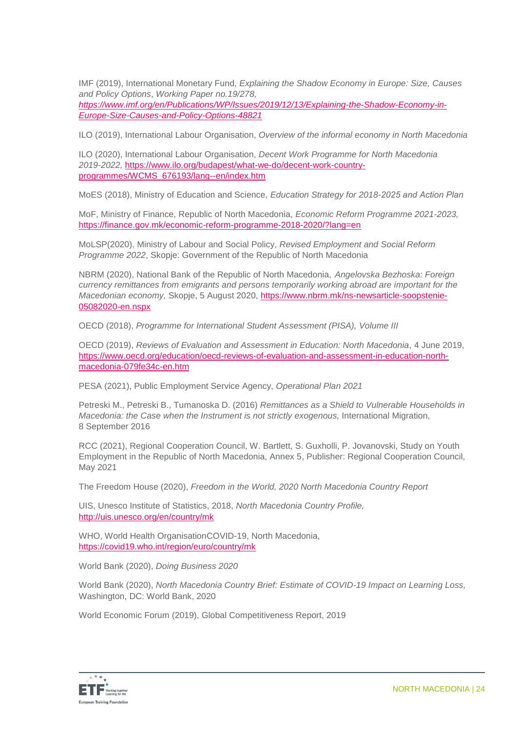IMF (2019), International Monetary Fund, *Explaining the Shadow Economy in Europe: Size, Causes and Policy Options*, *Working Paper no.19/278,*

*[https://www.imf.org/en/Publications/WP/Issues/2019/12/13/Explaining-the-Shadow-Economy-in-](https://www.imf.org/en/Publications/WP/Issues/2019/12/13/Explaining-the-Shadow-Economy-in-Europe-Size-Causes-and-Policy-Options-48821)[Europe-Size-Causes-and-Policy-Options-48821](https://www.imf.org/en/Publications/WP/Issues/2019/12/13/Explaining-the-Shadow-Economy-in-Europe-Size-Causes-and-Policy-Options-48821)*

ILO (2019), International Labour Organisation, *Overview of the informal economy in North Macedonia*

ILO (2020), International Labour Organisation, *Decent Work Programme for North Macedonia 2019-2022,* [https://www.ilo.org/budapest/what-we-do/decent-work-country](https://www.ilo.org/budapest/what-we-do/decent-work-country-programmes/WCMS_676193/lang--en/index.htm)[programmes/WCMS\\_676193/lang--en/index.htm](https://www.ilo.org/budapest/what-we-do/decent-work-country-programmes/WCMS_676193/lang--en/index.htm)

MoES (2018), Ministry of Education and Science, *Education Strategy for 2018-2025 аnd Action Plan*

MoF, Ministry of Finance, Republic of North Macedonia, *Economic Reform Programme 2021-2023,*  <https://finance.gov.mk/economic-reform-programme-2018-2020/?lang=en>

MoLSP(2020), Ministry of Labour and Social Policy, *Revised Employment and Social Reform Programme 2022*, Skopje: Government of the Republic of North Macedonia

NBRM (2020), National Bank of the Republic of North Macedonia, *Angelovska Bezhoska: Foreign currency remittances from emigrants and persons temporarily working abroad are important for the Macedonian economy,* Skopje, 5 August 2020, [https://www.nbrm.mk/ns-newsarticle-soopstenie-](https://www.nbrm.mk/ns-newsarticle-soopstenie-05082020-en.nspx)[05082020-en.nspx](https://www.nbrm.mk/ns-newsarticle-soopstenie-05082020-en.nspx)

OECD (2018), *Programme for International Student Assessment (PISA), Volume III*

OECD (2019), *Reviews of Evaluation and Assessment in Education: North Macedonia*, 4 June 2019, [https://www.oecd.org/education/oecd-reviews-of-evaluation-and-assessment-in-education-north](https://www.oecd.org/education/oecd-reviews-of-evaluation-and-assessment-in-education-north-macedonia-079fe34c-en.htm)[macedonia-079fe34c-en.htm](https://www.oecd.org/education/oecd-reviews-of-evaluation-and-assessment-in-education-north-macedonia-079fe34c-en.htm)

PESA (2021), Public Employment Service Agency, *Operational Plan 2021*

Petreski M., Petreski B., Tumanoska D. (2016) *Remittances as a Shield to Vulnerable Households in Macedonia: the Case when the Instrument is not strictly exogenous, International Migration,* 8 September 2016

RCC (2021), Regional Cooperation Council, W. Bartlett, S. Guxholli, P. Jovanovski, Study on Youth Employment in the Republic of North Macedonia, Annex 5, Publisher: Regional Cooperation Council, May 2021

The Freedom House (2020), *Freedom in the World, 2020 North Macedonia Country Report*

UIS, Unesco Institute of Statistics, 2018, *North Macedonia Country Profile,*  <http://uis.unesco.org/en/country/mk>

WHO, World Health OrganisationCOVID-19, North Macedonia, <https://covid19.who.int/region/euro/country/mk>

World Bank (2020), *Doing Business 2020*

World Bank (2020), *North Macedonia Country Brief: Estimate of COVID-19 Impact on Learning Loss,* Washington, DC: World Bank, 2020

World Economic Forum (2019), Global Competitiveness Report, 2019

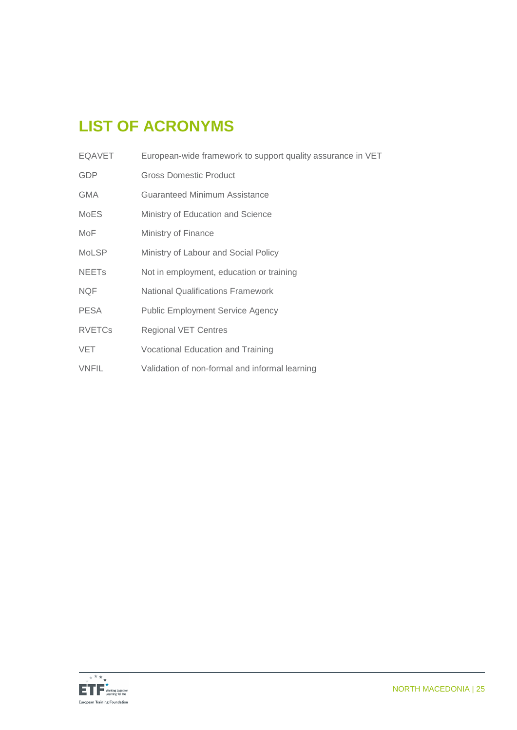# **LIST OF ACRONYMS**

| <b>EQAVET</b>           | European-wide framework to support quality assurance in VET |
|-------------------------|-------------------------------------------------------------|
| <b>GDP</b>              | <b>Gross Domestic Product</b>                               |
| <b>GMA</b>              | Guaranteed Minimum Assistance                               |
| <b>MoES</b>             | Ministry of Education and Science                           |
| MoF                     | Ministry of Finance                                         |
| <b>MoLSP</b>            | Ministry of Labour and Social Policy                        |
| <b>NEET<sub>s</sub></b> | Not in employment, education or training                    |
| <b>NQF</b>              | <b>National Qualifications Framework</b>                    |
| <b>PESA</b>             | <b>Public Employment Service Agency</b>                     |
| <b>RVETCs</b>           | <b>Regional VET Centres</b>                                 |
| <b>VET</b>              | Vocational Education and Training                           |
| <b>VNFIL</b>            | Validation of non-formal and informal learning              |
|                         |                                                             |